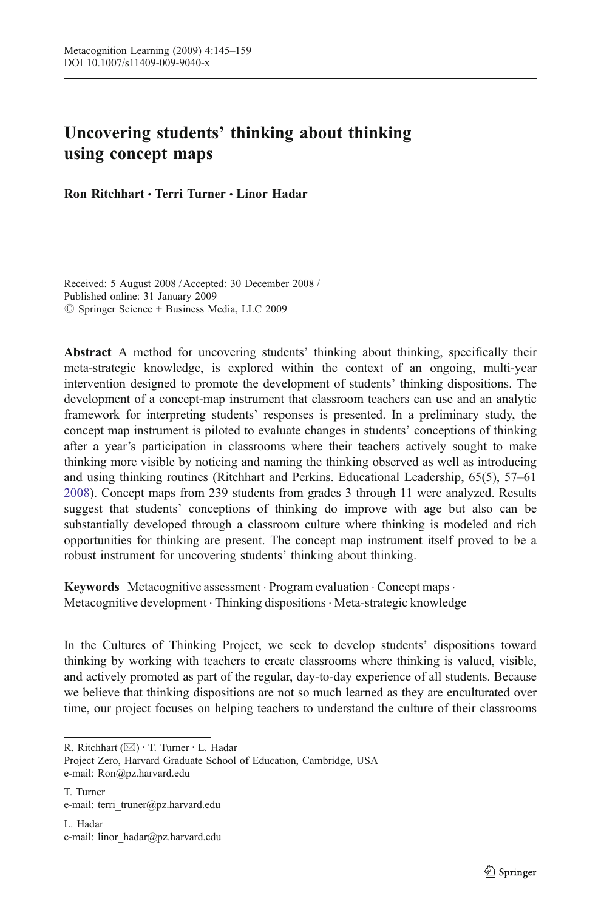# Uncovering students*'* thinking about thinking using concept maps

Ron Ritchhart & Terri Turner & Linor Hadar

Received: 5 August 2008 / Accepted: 30 December 2008 / Published online: 31 January 2009  $\circledcirc$  Springer Science + Business Media, LLC 2009

Abstract A method for uncovering students' thinking about thinking, specifically their meta-strategic knowledge, is explored within the context of an ongoing, multi-year intervention designed to promote the development of students' thinking dispositions. The development of a concept-map instrument that classroom teachers can use and an analytic framework for interpreting students' responses is presented. In a preliminary study, the concept map instrument is piloted to evaluate changes in students' conceptions of thinking after a year's participation in classrooms where their teachers actively sought to make thinking more visible by noticing and naming the thinking observed as well as introducing and using thinking routines (Ritchhart and Perkins. Educational Leadership, 65(5), 57–61 [2008\)](#page-14-0). Concept maps from 239 students from grades 3 through 11 were analyzed. Results suggest that students' conceptions of thinking do improve with age but also can be substantially developed through a classroom culture where thinking is modeled and rich opportunities for thinking are present. The concept map instrument itself proved to be a robust instrument for uncovering students' thinking about thinking.

Keywords Metacognitive assessment · Program evaluation · Concept maps · Metacognitive development . Thinking dispositions . Meta-strategic knowledge

In the Cultures of Thinking Project, we seek to develop students' dispositions toward thinking by working with teachers to create classrooms where thinking is valued, visible, and actively promoted as part of the regular, day-to-day experience of all students. Because we believe that thinking dispositions are not so much learned as they are enculturated over time, our project focuses on helping teachers to understand the culture of their classrooms

R. Ritchhart (*\**) : T. Turner : L. Hadar

Project Zero, Harvard Graduate School of Education, Cambridge, USA e-mail: Ron@pz.harvard.edu

T. Turner e-mail: terri\_truner@pz.harvard.edu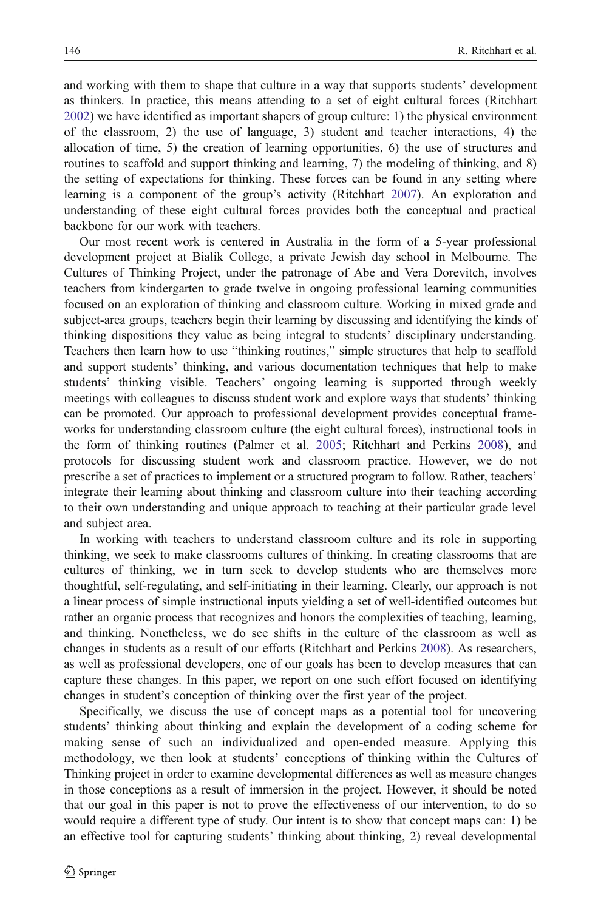and working with them to shape that culture in a way that supports students' development as thinkers. In practice, this means attending to a set of eight cultural forces (Ritchhart [2002\)](#page-14-0) we have identified as important shapers of group culture: 1) the physical environment of the classroom, 2) the use of language, 3) student and teacher interactions, 4) the allocation of time, 5) the creation of learning opportunities, 6) the use of structures and routines to scaffold and support thinking and learning, 7) the modeling of thinking, and 8) the setting of expectations for thinking. These forces can be found in any setting where learning is a component of the group's activity (Ritchhart [2007\)](#page-14-0). An exploration and understanding of these eight cultural forces provides both the conceptual and practical backbone for our work with teachers.

Our most recent work is centered in Australia in the form of a 5-year professional development project at Bialik College, a private Jewish day school in Melbourne. The Cultures of Thinking Project, under the patronage of Abe and Vera Dorevitch, involves teachers from kindergarten to grade twelve in ongoing professional learning communities focused on an exploration of thinking and classroom culture. Working in mixed grade and subject-area groups, teachers begin their learning by discussing and identifying the kinds of thinking dispositions they value as being integral to students' disciplinary understanding. Teachers then learn how to use "thinking routines," simple structures that help to scaffold and support students' thinking, and various documentation techniques that help to make students' thinking visible. Teachers' ongoing learning is supported through weekly meetings with colleagues to discuss student work and explore ways that students' thinking can be promoted. Our approach to professional development provides conceptual frameworks for understanding classroom culture (the eight cultural forces), instructional tools in the form of thinking routines (Palmer et al. [2005](#page-14-0); Ritchhart and Perkins [2008\)](#page-14-0), and protocols for discussing student work and classroom practice. However, we do not prescribe a set of practices to implement or a structured program to follow. Rather, teachers' integrate their learning about thinking and classroom culture into their teaching according to their own understanding and unique approach to teaching at their particular grade level and subject area.

In working with teachers to understand classroom culture and its role in supporting thinking, we seek to make classrooms cultures of thinking. In creating classrooms that are cultures of thinking, we in turn seek to develop students who are themselves more thoughtful, self-regulating, and self-initiating in their learning. Clearly, our approach is not a linear process of simple instructional inputs yielding a set of well-identified outcomes but rather an organic process that recognizes and honors the complexities of teaching, learning, and thinking. Nonetheless, we do see shifts in the culture of the classroom as well as changes in students as a result of our efforts (Ritchhart and Perkins [2008](#page-14-0)). As researchers, as well as professional developers, one of our goals has been to develop measures that can capture these changes. In this paper, we report on one such effort focused on identifying changes in student's conception of thinking over the first year of the project.

Specifically, we discuss the use of concept maps as a potential tool for uncovering students' thinking about thinking and explain the development of a coding scheme for making sense of such an individualized and open-ended measure. Applying this methodology, we then look at students' conceptions of thinking within the Cultures of Thinking project in order to examine developmental differences as well as measure changes in those conceptions as a result of immersion in the project. However, it should be noted that our goal in this paper is not to prove the effectiveness of our intervention, to do so would require a different type of study. Our intent is to show that concept maps can: 1) be an effective tool for capturing students' thinking about thinking, 2) reveal developmental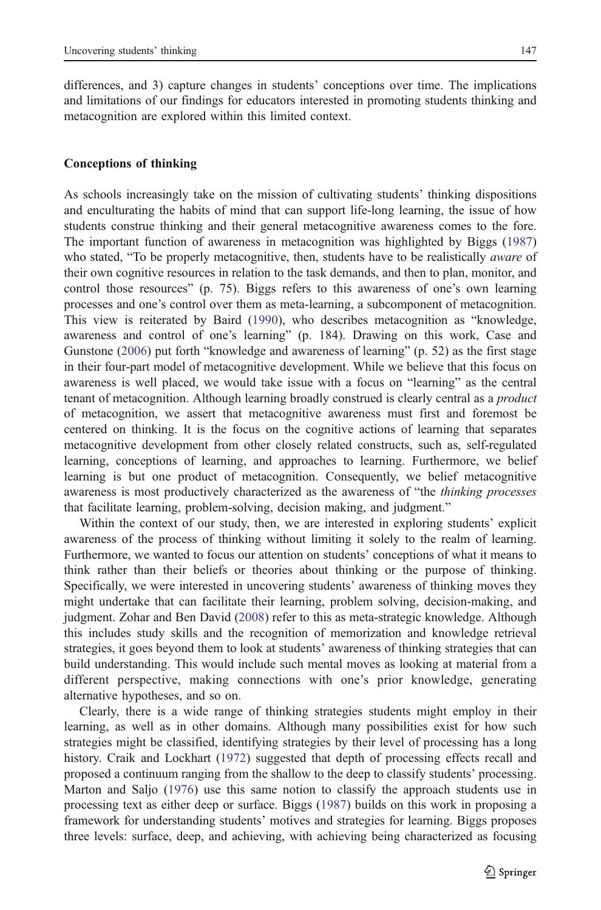differences, and 3) capture changes in students' conceptions over time. The implications and limitations of our findings for educators interested in promoting students thinking and metacognition are explored within this limited context.

#### Conceptions of thinking

As schools increasingly take on the mission of cultivating students' thinking dispositions and enculturating the habits of mind that can support life-long learning, the issue of how students construe thinking and their general metacognitive awareness comes to the fore. The important function of awareness in metacognition was highlighted by Biggs ([1987\)](#page-13-0) who stated, "To be properly metacognitive, then, students have to be realistically *aware* of their own cognitive resources in relation to the task demands, and then to plan, monitor, and control those resources" (p. 75). Biggs refers to this awareness of one's own learning processes and one's control over them as meta-learning, a subcomponent of metacognition. This view is reiterated by Baird [\(1990](#page-13-0)), who describes metacognition as "knowledge, awareness and control of one's learning" (p. 184). Drawing on this work, Case and Gunstone ([2006\)](#page-13-0) put forth "knowledge and awareness of learning" (p. 52) as the first stage in their four-part model of metacognitive development. While we believe that this focus on awareness is well placed, we would take issue with a focus on "learning" as the central tenant of metacognition. Although learning broadly construed is clearly central as a *product* of metacognition, we assert that metacognitive awareness must first and foremost be centered on thinking. It is the focus on the cognitive actions of learning that separates metacognitive development from other closely related constructs, such as, self-regulated learning, conceptions of learning, and approaches to learning. Furthermore, we belief learning is but one product of metacognition. Consequently, we belief metacognitive awareness is most productively characterized as the awareness of "the *thinking processes* that facilitate learning, problem-solving, decision making, and judgment."

Within the context of our study, then, we are interested in exploring students' explicit awareness of the process of thinking without limiting it solely to the realm of learning. Furthermore, we wanted to focus our attention on students' conceptions of what it means to think rather than their beliefs or theories about thinking or the purpose of thinking. Specifically, we were interested in uncovering students' awareness of thinking moves they might undertake that can facilitate their learning, problem solving, decision-making, and judgment. Zohar and Ben David ([2008\)](#page-14-0) refer to this as meta-strategic knowledge. Although this includes study skills and the recognition of memorization and knowledge retrieval strategies, it goes beyond them to look at students' awareness of thinking strategies that can build understanding. This would include such mental moves as looking at material from a different perspective, making connections with one's prior knowledge, generating alternative hypotheses, and so on.

Clearly, there is a wide range of thinking strategies students might employ in their learning, as well as in other domains. Although many possibilities exist for how such strategies might be classified, identifying strategies by their level of processing has a long history. Craik and Lockhart [\(1972](#page-13-0)) suggested that depth of processing effects recall and proposed a continuum ranging from the shallow to the deep to classify students' processing. Marton and Saljo ([1976\)](#page-14-0) use this same notion to classify the approach students use in processing text as either deep or surface. Biggs ([1987](#page-13-0)) builds on this work in proposing a framework for understanding students' motives and strategies for learning. Biggs proposes three levels: surface, deep, and achieving, with achieving being characterized as focusing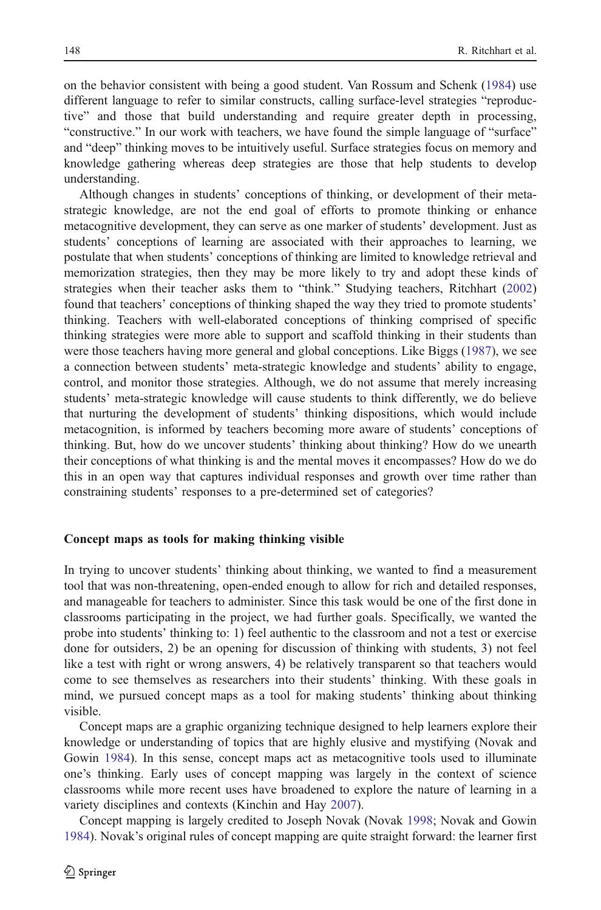on the behavior consistent with being a good student. Van Rossum and Schenk [\(1984](#page-14-0)) use different language to refer to similar constructs, calling surface-level strategies "reproductive" and those that build understanding and require greater depth in processing, "constructive." In our work with teachers, we have found the simple language of "surface" and "deep" thinking moves to be intuitively useful. Surface strategies focus on memory and knowledge gathering whereas deep strategies are those that help students to develop understanding.

Although changes in students' conceptions of thinking, or development of their metastrategic knowledge, are not the end goal of efforts to promote thinking or enhance metacognitive development, they can serve as one marker of students' development. Just as students' conceptions of learning are associated with their approaches to learning, we postulate that when students' conceptions of thinking are limited to knowledge retrieval and memorization strategies, then they may be more likely to try and adopt these kinds of strategies when their teacher asks them to "think." Studying teachers, Ritchhart ([2002\)](#page-14-0) found that teachers' conceptions of thinking shaped the way they tried to promote students' thinking. Teachers with well-elaborated conceptions of thinking comprised of specific thinking strategies were more able to support and scaffold thinking in their students than were those teachers having more general and global conceptions. Like Biggs ([1987](#page-13-0)), we see a connection between students' meta-strategic knowledge and students' ability to engage, control, and monitor those strategies. Although, we do not assume that merely increasing students' meta-strategic knowledge will cause students to think differently, we do believe that nurturing the development of students' thinking dispositions, which would include metacognition, is informed by teachers becoming more aware of students' conceptions of thinking. But, how do we uncover students' thinking about thinking? How do we unearth their conceptions of what thinking is and the mental moves it encompasses? How do we do this in an open way that captures individual responses and growth over time rather than constraining students' responses to a pre-determined set of categories?

#### Concept maps as tools for making thinking visible

In trying to uncover students' thinking about thinking, we wanted to find a measurement tool that was non-threatening, open-ended enough to allow for rich and detailed responses, and manageable for teachers to administer. Since this task would be one of the first done in classrooms participating in the project, we had further goals. Specifically, we wanted the probe into students' thinking to: 1) feel authentic to the classroom and not a test or exercise done for outsiders, 2) be an opening for discussion of thinking with students, 3) not feel like a test with right or wrong answers, 4) be relatively transparent so that teachers would come to see themselves as researchers into their students' thinking. With these goals in mind, we pursued concept maps as a tool for making students' thinking about thinking visible.

Concept maps are a graphic organizing technique designed to help learners explore their knowledge or understanding of topics that are highly elusive and mystifying (Novak and Gowin [1984](#page-14-0)). In this sense, concept maps act as metacognitive tools used to illuminate one's thinking. Early uses of concept mapping was largely in the context of science classrooms while more recent uses have broadened to explore the nature of learning in a variety disciplines and contexts (Kinchin and Hay [2007\)](#page-14-0).

Concept mapping is largely credited to Joseph Novak (Novak [1998;](#page-14-0) Novak and Gowin [1984\)](#page-14-0). Novak's original rules of concept mapping are quite straight forward: the learner first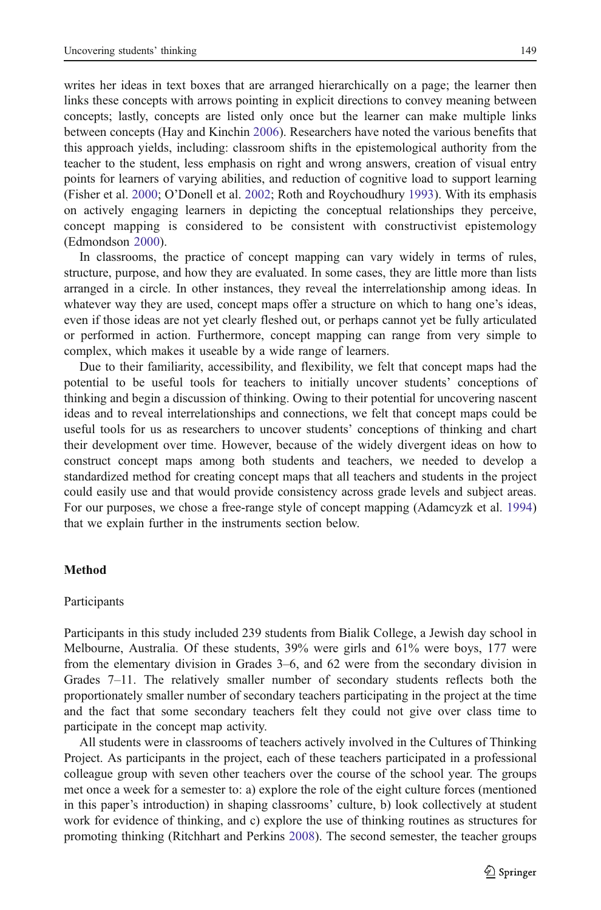writes her ideas in text boxes that are arranged hierarchically on a page; the learner then links these concepts with arrows pointing in explicit directions to convey meaning between concepts; lastly, concepts are listed only once but the learner can make multiple links between concepts (Hay and Kinchin [2006](#page-14-0)). Researchers have noted the various benefits that this approach yields, including: classroom shifts in the epistemological authority from the teacher to the student, less emphasis on right and wrong answers, creation of visual entry points for learners of varying abilities, and reduction of cognitive load to support learning (Fisher et al. [2000](#page-14-0); O'Donell et al. [2002](#page-14-0); Roth and Roychoudhury [1993\)](#page-14-0). With its emphasis on actively engaging learners in depicting the conceptual relationships they perceive, concept mapping is considered to be consistent with constructivist epistemology (Edmondson [2000\)](#page-14-0).

In classrooms, the practice of concept mapping can vary widely in terms of rules, structure, purpose, and how they are evaluated. In some cases, they are little more than lists arranged in a circle. In other instances, they reveal the interrelationship among ideas. In whatever way they are used, concept maps offer a structure on which to hang one's ideas, even if those ideas are not yet clearly fleshed out, or perhaps cannot yet be fully articulated or performed in action. Furthermore, concept mapping can range from very simple to complex, which makes it useable by a wide range of learners.

Due to their familiarity, accessibility, and flexibility, we felt that concept maps had the potential to be useful tools for teachers to initially uncover students' conceptions of thinking and begin a discussion of thinking. Owing to their potential for uncovering nascent ideas and to reveal interrelationships and connections, we felt that concept maps could be useful tools for us as researchers to uncover students' conceptions of thinking and chart their development over time. However, because of the widely divergent ideas on how to construct concept maps among both students and teachers, we needed to develop a standardized method for creating concept maps that all teachers and students in the project could easily use and that would provide consistency across grade levels and subject areas. For our purposes, we chose a free-range style of concept mapping (Adamcyzk et al. [1994\)](#page-13-0) that we explain further in the instruments section below.

## Method

#### Participants

Participants in this study included 239 students from Bialik College, a Jewish day school in Melbourne, Australia. Of these students, 39% were girls and 61% were boys, 177 were from the elementary division in Grades 3–6, and 62 were from the secondary division in Grades 7–11. The relatively smaller number of secondary students reflects both the proportionately smaller number of secondary teachers participating in the project at the time and the fact that some secondary teachers felt they could not give over class time to participate in the concept map activity.

All students were in classrooms of teachers actively involved in the Cultures of Thinking Project. As participants in the project, each of these teachers participated in a professional colleague group with seven other teachers over the course of the school year. The groups met once a week for a semester to: a) explore the role of the eight culture forces (mentioned in this paper's introduction) in shaping classrooms' culture, b) look collectively at student work for evidence of thinking, and c) explore the use of thinking routines as structures for promoting thinking (Ritchhart and Perkins [2008](#page-14-0)). The second semester, the teacher groups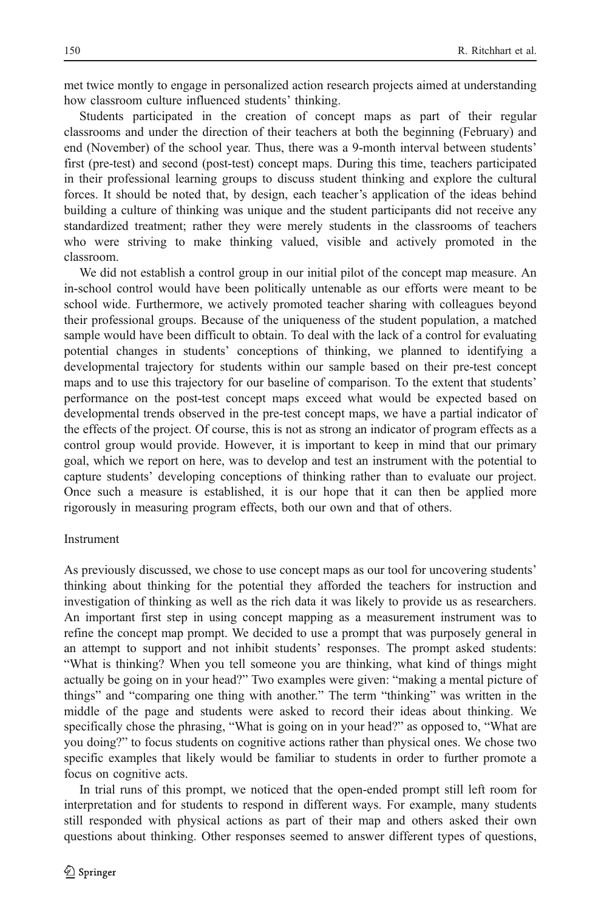met twice montly to engage in personalized action research projects aimed at understanding how classroom culture influenced students' thinking.

Students participated in the creation of concept maps as part of their regular classrooms and under the direction of their teachers at both the beginning (February) and end (November) of the school year. Thus, there was a 9-month interval between students' first (pre-test) and second (post-test) concept maps. During this time, teachers participated in their professional learning groups to discuss student thinking and explore the cultural forces. It should be noted that, by design, each teacher's application of the ideas behind building a culture of thinking was unique and the student participants did not receive any standardized treatment; rather they were merely students in the classrooms of teachers who were striving to make thinking valued, visible and actively promoted in the classroom.

We did not establish a control group in our initial pilot of the concept map measure. An in-school control would have been politically untenable as our efforts were meant to be school wide. Furthermore, we actively promoted teacher sharing with colleagues beyond their professional groups. Because of the uniqueness of the student population, a matched sample would have been difficult to obtain. To deal with the lack of a control for evaluating potential changes in students' conceptions of thinking, we planned to identifying a developmental trajectory for students within our sample based on their pre-test concept maps and to use this trajectory for our baseline of comparison. To the extent that students' performance on the post-test concept maps exceed what would be expected based on developmental trends observed in the pre-test concept maps, we have a partial indicator of the effects of the project. Of course, this is not as strong an indicator of program effects as a control group would provide. However, it is important to keep in mind that our primary goal, which we report on here, was to develop and test an instrument with the potential to capture students' developing conceptions of thinking rather than to evaluate our project. Once such a measure is established, it is our hope that it can then be applied more rigorously in measuring program effects, both our own and that of others.

#### Instrument

As previously discussed, we chose to use concept maps as our tool for uncovering students' thinking about thinking for the potential they afforded the teachers for instruction and investigation of thinking as well as the rich data it was likely to provide us as researchers. An important first step in using concept mapping as a measurement instrument was to refine the concept map prompt. We decided to use a prompt that was purposely general in an attempt to support and not inhibit students' responses. The prompt asked students: "What is thinking? When you tell someone you are thinking, what kind of things might actually be going on in your head?" Two examples were given: "making a mental picture of things" and "comparing one thing with another." The term "thinking" was written in the middle of the page and students were asked to record their ideas about thinking. We specifically chose the phrasing, "What is going on in your head?" as opposed to, "What are you doing?" to focus students on cognitive actions rather than physical ones. We chose two specific examples that likely would be familiar to students in order to further promote a focus on cognitive acts.

In trial runs of this prompt, we noticed that the open-ended prompt still left room for interpretation and for students to respond in different ways. For example, many students still responded with physical actions as part of their map and others asked their own questions about thinking. Other responses seemed to answer different types of questions,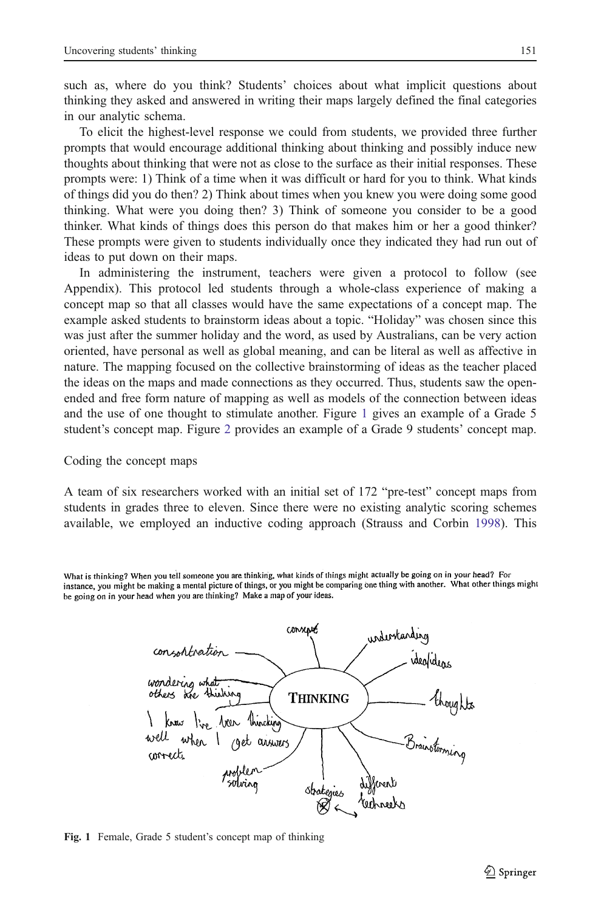<span id="page-6-0"></span>such as, where do you think? Students' choices about what implicit questions about thinking they asked and answered in writing their maps largely defined the final categories in our analytic schema.

To elicit the highest-level response we could from students, we provided three further prompts that would encourage additional thinking about thinking and possibly induce new thoughts about thinking that were not as close to the surface as their initial responses. These prompts were: 1) Think of a time when it was difficult or hard for you to think. What kinds of things did you do then? 2) Think about times when you knew you were doing some good thinking. What were you doing then? 3) Think of someone you consider to be a good thinker. What kinds of things does this person do that makes him or her a good thinker? These prompts were given to students individually once they indicated they had run out of ideas to put down on their maps.

In administering the instrument, teachers were given a protocol to follow (see Appendix). This protocol led students through a whole-class experience of making a concept map so that all classes would have the same expectations of a concept map. The example asked students to brainstorm ideas about a topic. "Holiday" was chosen since this was just after the summer holiday and the word, as used by Australians, can be very action oriented, have personal as well as global meaning, and can be literal as well as affective in nature. The mapping focused on the collective brainstorming of ideas as the teacher placed the ideas on the maps and made connections as they occurred. Thus, students saw the openended and free form nature of mapping as well as models of the connection between ideas and the use of one thought to stimulate another. Figure 1 gives an example of a Grade 5 student's concept map. Figure [2](#page-7-0) provides an example of a Grade 9 students' concept map.

#### Coding the concept maps

A team of six researchers worked with an initial set of 172 "pre-test" concept maps from students in grades three to eleven. Since there were no existing analytic scoring schemes available, we employed an inductive coding approach (Strauss and Corbin [1998](#page-14-0)). This

What is thinking? When you tell someone you are thinking, what kinds of things might actually be going on in your head? For instance, you might be making a mental picture of things, or you might be comparing one thing with another. What other things might be going on in your head when you are thinking? Make a map of your ideas.



Fig. 1 Female, Grade 5 student's concept map of thinking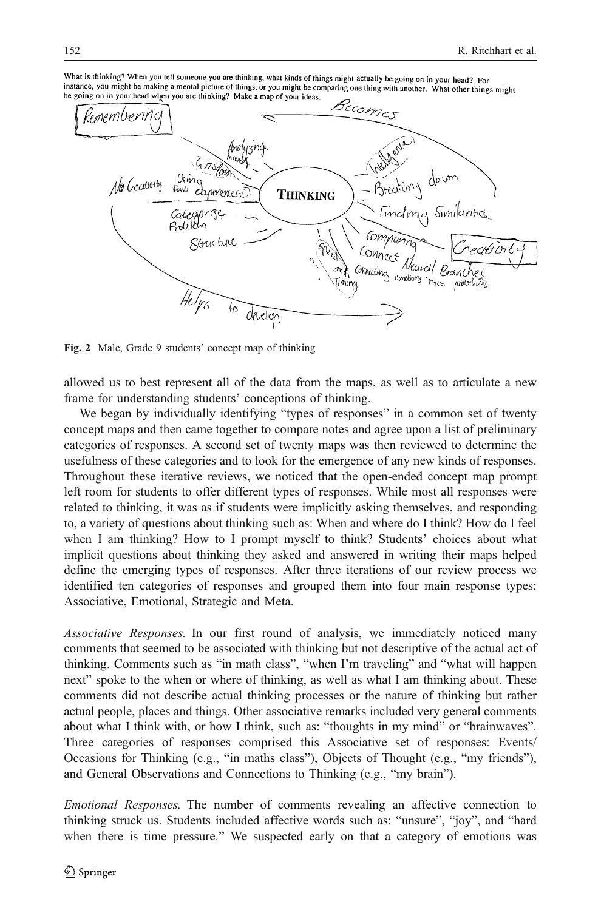<span id="page-7-0"></span>What is thinking? When you tell someone you are thinking, what kinds of things might actually be going on in your head? For intervention model of the control of the community, which the solid might actually be going on in your nead? For<br>instance, you might be making a mental picture of things, or you might be comparing one thing with another. W be going on in your head when you are thinking? Make a map of your ideas.



Fig. 2 Male, Grade 9 students' concept map of thinking

allowed us to best represent all of the data from the maps, as well as to articulate a new frame for understanding students' conceptions of thinking.

We began by individually identifying "types of responses" in a common set of twenty concept maps and then came together to compare notes and agree upon a list of preliminary categories of responses. A second set of twenty maps was then reviewed to determine the usefulness of these categories and to look for the emergence of any new kinds of responses. Throughout these iterative reviews, we noticed that the open-ended concept map prompt left room for students to offer different types of responses. While most all responses were related to thinking, it was as if students were implicitly asking themselves, and responding to, a variety of questions about thinking such as: When and where do I think? How do I feel when I am thinking? How to I prompt myself to think? Students' choices about what implicit questions about thinking they asked and answered in writing their maps helped define the emerging types of responses. After three iterations of our review process we identified ten categories of responses and grouped them into four main response types: Associative, Emotional, Strategic and Meta.

Associative Responses. In our first round of analysis, we immediately noticed many comments that seemed to be associated with thinking but not descriptive of the actual act of thinking. Comments such as "in math class", "when I'm traveling" and "what will happen next" spoke to the when or where of thinking, as well as what I am thinking about. These comments did not describe actual thinking processes or the nature of thinking but rather actual people, places and things. Other associative remarks included very general comments about what I think with, or how I think, such as: "thoughts in my mind" or "brainwaves". Three categories of responses comprised this Associative set of responses: Events/ Occasions for Thinking (e.g., "in maths class"), Objects of Thought (e.g., "my friends"), and General Observations and Connections to Thinking (e.g., "my brain").

Emotional Responses. The number of comments revealing an affective connection to thinking struck us. Students included affective words such as: "unsure", "joy", and "hard when there is time pressure." We suspected early on that a category of emotions was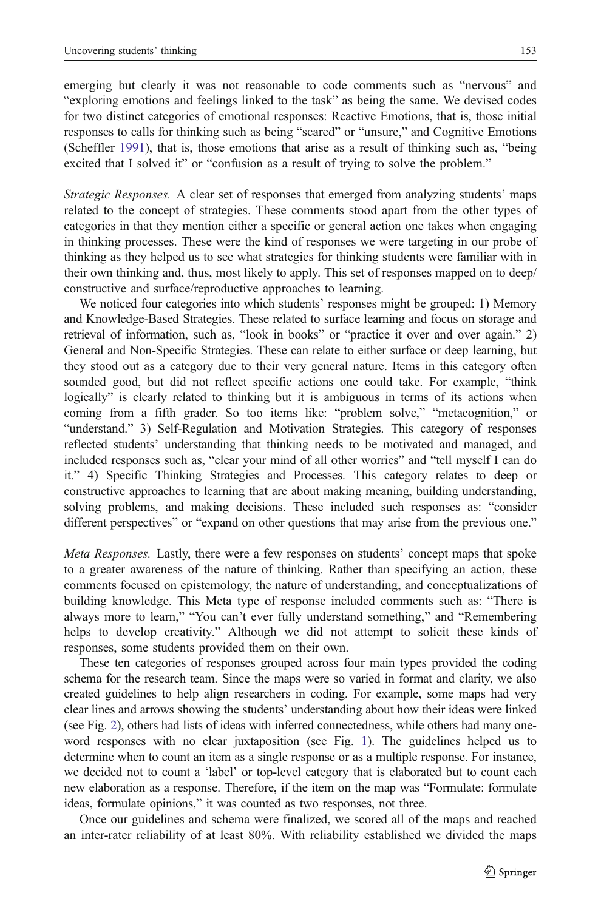emerging but clearly it was not reasonable to code comments such as "nervous" and "exploring emotions and feelings linked to the task" as being the same. We devised codes for two distinct categories of emotional responses: Reactive Emotions, that is, those initial responses to calls for thinking such as being "scared" or "unsure," and Cognitive Emotions (Scheffler [1991](#page-14-0)), that is, those emotions that arise as a result of thinking such as, "being excited that I solved it" or "confusion as a result of trying to solve the problem."

Strategic Responses. A clear set of responses that emerged from analyzing students' maps related to the concept of strategies. These comments stood apart from the other types of categories in that they mention either a specific or general action one takes when engaging in thinking processes. These were the kind of responses we were targeting in our probe of thinking as they helped us to see what strategies for thinking students were familiar with in their own thinking and, thus, most likely to apply. This set of responses mapped on to deep/ constructive and surface/reproductive approaches to learning.

We noticed four categories into which students' responses might be grouped: 1) Memory and Knowledge-Based Strategies. These related to surface learning and focus on storage and retrieval of information, such as, "look in books" or "practice it over and over again." 2) General and Non-Specific Strategies. These can relate to either surface or deep learning, but they stood out as a category due to their very general nature. Items in this category often sounded good, but did not reflect specific actions one could take. For example, "think logically" is clearly related to thinking but it is ambiguous in terms of its actions when coming from a fifth grader. So too items like: "problem solve," "metacognition," or "understand." 3) Self-Regulation and Motivation Strategies. This category of responses reflected students' understanding that thinking needs to be motivated and managed, and included responses such as, "clear your mind of all other worries" and "tell myself I can do it." 4) Specific Thinking Strategies and Processes. This category relates to deep or constructive approaches to learning that are about making meaning, building understanding, solving problems, and making decisions. These included such responses as: "consider different perspectives" or "expand on other questions that may arise from the previous one."

Meta Responses. Lastly, there were a few responses on students' concept maps that spoke to a greater awareness of the nature of thinking. Rather than specifying an action, these comments focused on epistemology, the nature of understanding, and conceptualizations of building knowledge. This Meta type of response included comments such as: "There is always more to learn," "You can't ever fully understand something," and "Remembering helps to develop creativity." Although we did not attempt to solicit these kinds of responses, some students provided them on their own.

These ten categories of responses grouped across four main types provided the coding schema for the research team. Since the maps were so varied in format and clarity, we also created guidelines to help align researchers in coding. For example, some maps had very clear lines and arrows showing the students' understanding about how their ideas were linked (see Fig. [2](#page-7-0)), others had lists of ideas with inferred connectedness, while others had many oneword responses with no clear juxtaposition (see Fig. [1\)](#page-6-0). The guidelines helped us to determine when to count an item as a single response or as a multiple response. For instance, we decided not to count a 'label' or top-level category that is elaborated but to count each new elaboration as a response. Therefore, if the item on the map was "Formulate: formulate ideas, formulate opinions," it was counted as two responses, not three.

Once our guidelines and schema were finalized, we scored all of the maps and reached an inter-rater reliability of at least 80%. With reliability established we divided the maps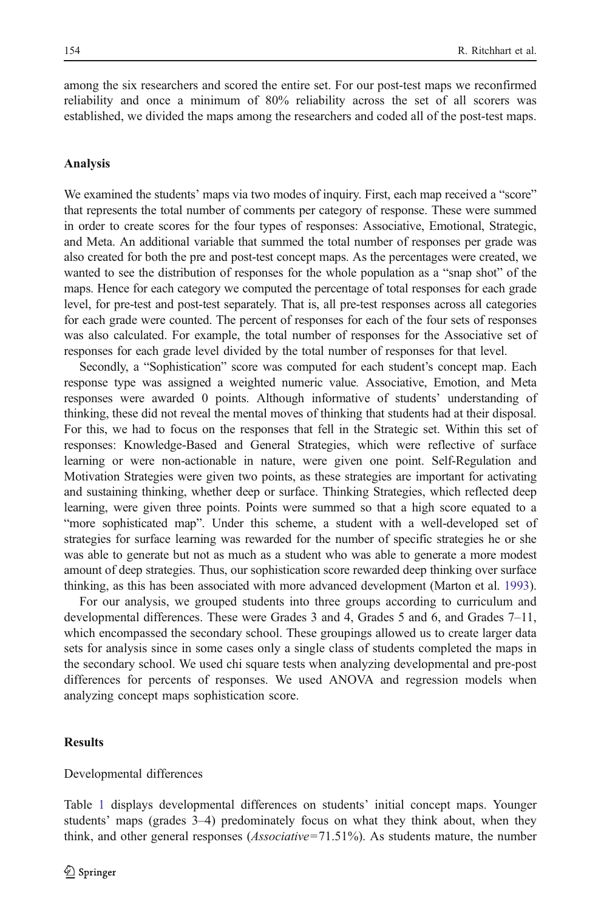among the six researchers and scored the entire set. For our post-test maps we reconfirmed reliability and once a minimum of 80% reliability across the set of all scorers was established, we divided the maps among the researchers and coded all of the post-test maps.

#### Analysis

We examined the students' maps via two modes of inquiry. First, each map received a "score" that represents the total number of comments per category of response. These were summed in order to create scores for the four types of responses: Associative, Emotional, Strategic, and Meta. An additional variable that summed the total number of responses per grade was also created for both the pre and post-test concept maps. As the percentages were created, we wanted to see the distribution of responses for the whole population as a "snap shot" of the maps. Hence for each category we computed the percentage of total responses for each grade level, for pre-test and post-test separately. That is, all pre-test responses across all categories for each grade were counted. The percent of responses for each of the four sets of responses was also calculated. For example, the total number of responses for the Associative set of responses for each grade level divided by the total number of responses for that level.

Secondly, a "Sophistication" score was computed for each student's concept map. Each response type was assigned a weighted numeric value. Associative, Emotion, and Meta responses were awarded 0 points. Although informative of students' understanding of thinking, these did not reveal the mental moves of thinking that students had at their disposal. For this, we had to focus on the responses that fell in the Strategic set. Within this set of responses: Knowledge-Based and General Strategies, which were reflective of surface learning or were non-actionable in nature, were given one point. Self-Regulation and Motivation Strategies were given two points, as these strategies are important for activating and sustaining thinking, whether deep or surface. Thinking Strategies, which reflected deep learning, were given three points. Points were summed so that a high score equated to a "more sophisticated map". Under this scheme, a student with a well-developed set of strategies for surface learning was rewarded for the number of specific strategies he or she was able to generate but not as much as a student who was able to generate a more modest amount of deep strategies. Thus, our sophistication score rewarded deep thinking over surface thinking, as this has been associated with more advanced development (Marton et al. [1993](#page-14-0)).

For our analysis, we grouped students into three groups according to curriculum and developmental differences. These were Grades 3 and 4, Grades 5 and 6, and Grades 7–11, which encompassed the secondary school. These groupings allowed us to create larger data sets for analysis since in some cases only a single class of students completed the maps in the secondary school. We used chi square tests when analyzing developmental and pre-post differences for percents of responses. We used ANOVA and regression models when analyzing concept maps sophistication score.

## **Results**

Developmental differences

Table [1](#page-10-0) displays developmental differences on students' initial concept maps. Younger students' maps (grades 3–4) predominately focus on what they think about, when they think, and other general responses (Associative=71.51%). As students mature, the number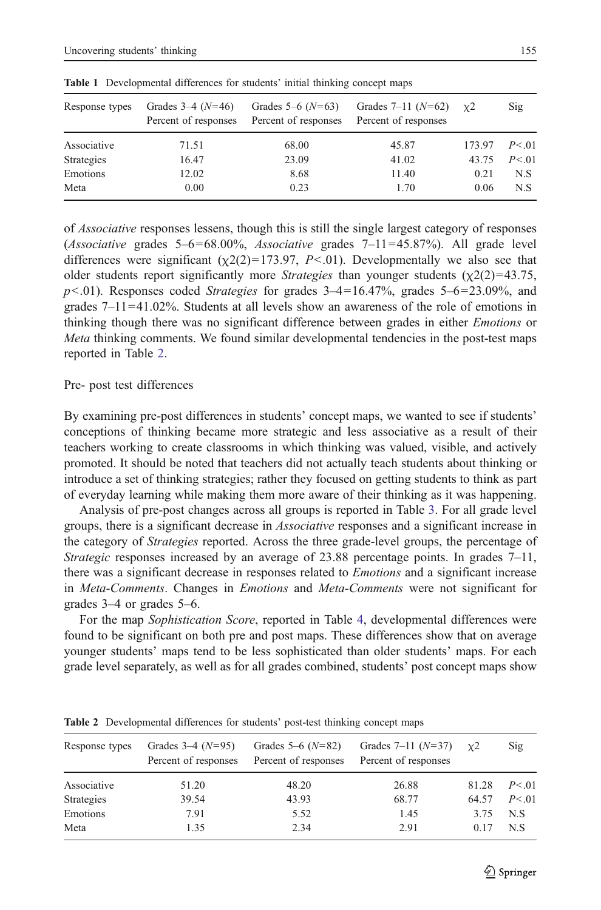| Response types | Grades $3-4(N=46)$<br>Percent of responses | Grades $5-6$ ( $N=63$ )<br>Percent of responses | Grades $7-11$ $(N=62)$<br>Percent of responses | $x^2$  | Sig      |  |
|----------------|--------------------------------------------|-------------------------------------------------|------------------------------------------------|--------|----------|--|
| Associative    | 71.51                                      | 68.00                                           | 45.87                                          | 173.97 | P < 0.01 |  |
| Strategies     | 16.47                                      | 23.09                                           | 41.02                                          | 43.75  | P < 01   |  |
| Emotions       | 12.02                                      | 8.68                                            | 11.40                                          | 0.21   | N.S      |  |
| Meta           | 0.00                                       | 0.23                                            | 1.70                                           | 0.06   | N.S      |  |

<span id="page-10-0"></span>Table 1 Developmental differences for students' initial thinking concept maps

of Associative responses lessens, though this is still the single largest category of responses (Associative grades  $5-6=68.00\%$ , Associative grades  $7-11=45.87\%$ ). All grade level differences were significant  $(\chi_2(2)=173.97, P<.01)$ . Developmentally we also see that older students report significantly more *Strategies* than younger students  $(\chi^2(2)=43.75)$ ,  $p<.01$ ). Responses coded *Strategies* for grades  $3-4=16.47\%$ , grades  $5-6=23.09\%$ , and grades  $7-11=41.02\%$ . Students at all levels show an awareness of the role of emotions in thinking though there was no significant difference between grades in either Emotions or Meta thinking comments. We found similar developmental tendencies in the post-test maps reported in Table 2.

## Pre- post test differences

By examining pre-post differences in students' concept maps, we wanted to see if students' conceptions of thinking became more strategic and less associative as a result of their teachers working to create classrooms in which thinking was valued, visible, and actively promoted. It should be noted that teachers did not actually teach students about thinking or introduce a set of thinking strategies; rather they focused on getting students to think as part of everyday learning while making them more aware of their thinking as it was happening.

Analysis of pre-post changes across all groups is reported in Table [3](#page-11-0). For all grade level groups, there is a significant decrease in *Associative* responses and a significant increase in the category of *Strategies* reported. Across the three grade-level groups, the percentage of Strategic responses increased by an average of  $23.88$  percentage points. In grades  $7-11$ , there was a significant decrease in responses related to Emotions and a significant increase in *Meta-Comments*. Changes in *Emotions* and *Meta-Comments* were not significant for grades 3–4 or grades 5–6.

For the map Sophistication Score, reported in Table [4,](#page-11-0) developmental differences were found to be significant on both pre and post maps. These differences show that on average younger students' maps tend to be less sophisticated than older students' maps. For each grade level separately, as well as for all grades combined, students' post concept maps show

| Response types | Grades $3-4$ ( $N=95$ )<br>Percent of responses | Grades $5-6$ ( $N=82$ )<br>Percent of responses | Grades $7-11$ $(N=37)$<br>Percent of responses | $x^2$ | Sig      |  |
|----------------|-------------------------------------------------|-------------------------------------------------|------------------------------------------------|-------|----------|--|
| Associative    | 51.20                                           | 48.20                                           | 26.88                                          | 81.28 | P < 0.01 |  |
| Strategies     | 39.54                                           | 43.93                                           | 68.77                                          | 64.57 | P < 01   |  |
| Emotions       | 7.91                                            | 5.52                                            | 1.45                                           | 3.75  | N.S      |  |
| Meta           | 1.35                                            | 2.34                                            | 2.91                                           | 0.17  | N.S      |  |

Table 2 Developmental differences for students' post-test thinking concept maps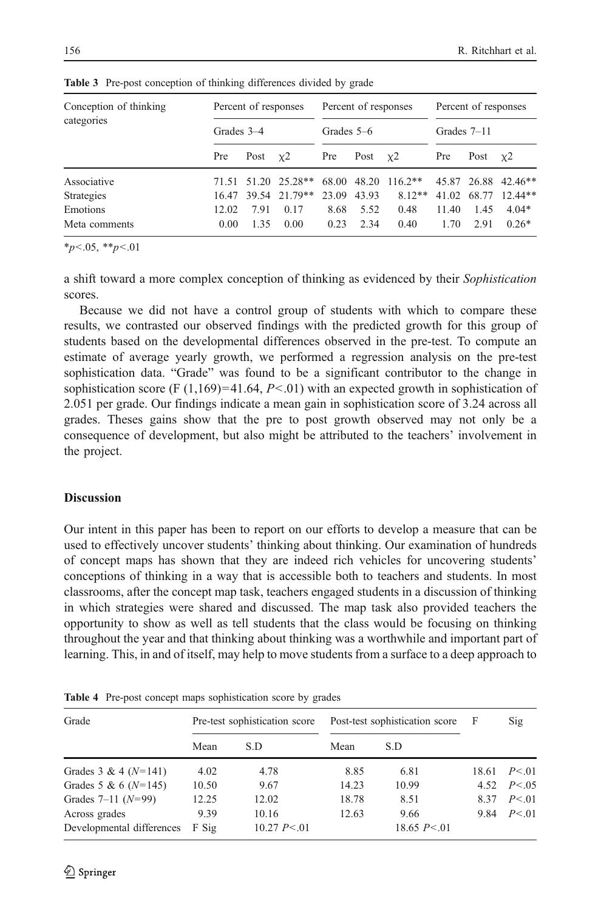| Conception of thinking | Percent of responses<br>Grades 3-4 |      | Percent of responses |              | Percent of responses |               |       |               |                     |
|------------------------|------------------------------------|------|----------------------|--------------|----------------------|---------------|-------|---------------|---------------------|
| categories             |                                    |      |                      | Grades $5-6$ |                      | Grades $7-11$ |       |               |                     |
|                        | Pre                                | Post | $\chi$ 2             | Pre          | Post $x^2$           |               | Pre   | Post $\chi$ 2 |                     |
| Associative            |                                    |      | 71.51 51.20 25.28**  | 68.00        |                      | 48.20 116.2** |       |               | 45.87 26.88 42.46** |
| Strategies             |                                    |      | 16.47 39.54 21.79**  | 23.09        | 43.93                | $8.12**$      | 41.02 |               | 68.77 12.44**       |
| Emotions               | 12.02                              | 7.91 | 0.17                 | 8.68         | 5.52                 | 0.48          | 11.40 | 1.45          | $4.04*$             |
| Meta comments          | 0.00                               | 1.35 | 0.00                 | 0.23         | 2.34                 | 0.40          | 1.70  | 2.91          | $0.26*$             |

<span id="page-11-0"></span>Table 3 Pre-post conception of thinking differences divided by grade

 $*_{p<.05,}$   $*_{p<.01}$ 

a shift toward a more complex conception of thinking as evidenced by their Sophistication scores.

Because we did not have a control group of students with which to compare these results, we contrasted our observed findings with the predicted growth for this group of students based on the developmental differences observed in the pre-test. To compute an estimate of average yearly growth, we performed a regression analysis on the pre-test sophistication data. "Grade" was found to be a significant contributor to the change in sophistication score (F  $(1,169)=41.64$ , P<.01) with an expected growth in sophistication of 2.051 per grade. Our findings indicate a mean gain in sophistication score of 3.24 across all grades. Theses gains show that the pre to post growth observed may not only be a consequence of development, but also might be attributed to the teachers' involvement in the project.

#### **Discussion**

Our intent in this paper has been to report on our efforts to develop a measure that can be used to effectively uncover students' thinking about thinking. Our examination of hundreds of concept maps has shown that they are indeed rich vehicles for uncovering students' conceptions of thinking in a way that is accessible both to teachers and students. In most classrooms, after the concept map task, teachers engaged students in a discussion of thinking in which strategies were shared and discussed. The map task also provided teachers the opportunity to show as well as tell students that the class would be focusing on thinking throughout the year and that thinking about thinking was a worthwhile and important part of learning. This, in and of itself, may help to move students from a surface to a deep approach to

| Grade                     | Pre-test sophistication score |                  | Post-test sophistication score | $\mathbf{F}$   | Sig  |                         |
|---------------------------|-------------------------------|------------------|--------------------------------|----------------|------|-------------------------|
|                           | Mean                          | S.D              | Mean                           | S.D            |      |                         |
| Grades $3 & 4 (N=141)$    | 4.02                          | 4.78             | 8.85                           | 6.81           |      | $18.61 \quad P \leq 01$ |
| Grades 5 & 6 ( $N=145$ )  | 10.50                         | 9.67             | 14.23                          | 10.99          |      | 4.52 $P < 0.5$          |
| Grades $7-11$ $(N=99)$    | 12.25                         | 12.02            | 18.78                          | 8.51           | 8.37 | P < 01                  |
| Across grades             | 9.39                          | 10.16            | 12.63                          | 9.66           |      | 9.84 $P < 01$           |
| Developmental differences | F Sig                         | $10.27 P \le 01$ |                                | 18.65 $P < 01$ |      |                         |

Table 4 Pre-post concept maps sophistication score by grades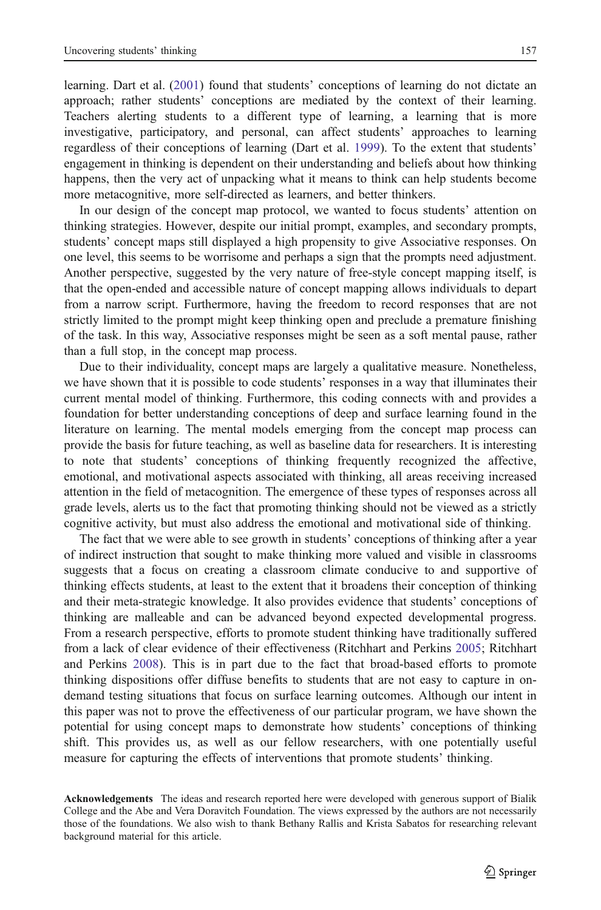learning. Dart et al. [\(2001\)](#page-13-0) found that students' conceptions of learning do not dictate an approach; rather students' conceptions are mediated by the context of their learning. Teachers alerting students to a different type of learning, a learning that is more investigative, participatory, and personal, can affect students' approaches to learning regardless of their conceptions of learning (Dart et al. [1999](#page-13-0)). To the extent that students' engagement in thinking is dependent on their understanding and beliefs about how thinking happens, then the very act of unpacking what it means to think can help students become more metacognitive, more self-directed as learners, and better thinkers.

In our design of the concept map protocol, we wanted to focus students' attention on thinking strategies. However, despite our initial prompt, examples, and secondary prompts, students' concept maps still displayed a high propensity to give Associative responses. On one level, this seems to be worrisome and perhaps a sign that the prompts need adjustment. Another perspective, suggested by the very nature of free-style concept mapping itself, is that the open-ended and accessible nature of concept mapping allows individuals to depart from a narrow script. Furthermore, having the freedom to record responses that are not strictly limited to the prompt might keep thinking open and preclude a premature finishing of the task. In this way, Associative responses might be seen as a soft mental pause, rather than a full stop, in the concept map process.

Due to their individuality, concept maps are largely a qualitative measure. Nonetheless, we have shown that it is possible to code students' responses in a way that illuminates their current mental model of thinking. Furthermore, this coding connects with and provides a foundation for better understanding conceptions of deep and surface learning found in the literature on learning. The mental models emerging from the concept map process can provide the basis for future teaching, as well as baseline data for researchers. It is interesting to note that students' conceptions of thinking frequently recognized the affective, emotional, and motivational aspects associated with thinking, all areas receiving increased attention in the field of metacognition. The emergence of these types of responses across all grade levels, alerts us to the fact that promoting thinking should not be viewed as a strictly cognitive activity, but must also address the emotional and motivational side of thinking.

The fact that we were able to see growth in students' conceptions of thinking after a year of indirect instruction that sought to make thinking more valued and visible in classrooms suggests that a focus on creating a classroom climate conducive to and supportive of thinking effects students, at least to the extent that it broadens their conception of thinking and their meta-strategic knowledge. It also provides evidence that students' conceptions of thinking are malleable and can be advanced beyond expected developmental progress. From a research perspective, efforts to promote student thinking have traditionally suffered from a lack of clear evidence of their effectiveness (Ritchhart and Perkins [2005](#page-14-0); Ritchhart and Perkins [2008](#page-14-0)). This is in part due to the fact that broad-based efforts to promote thinking dispositions offer diffuse benefits to students that are not easy to capture in ondemand testing situations that focus on surface learning outcomes. Although our intent in this paper was not to prove the effectiveness of our particular program, we have shown the potential for using concept maps to demonstrate how students' conceptions of thinking shift. This provides us, as well as our fellow researchers, with one potentially useful measure for capturing the effects of interventions that promote students' thinking.

Acknowledgements The ideas and research reported here were developed with generous support of Bialik College and the Abe and Vera Doravitch Foundation. The views expressed by the authors are not necessarily those of the foundations. We also wish to thank Bethany Rallis and Krista Sabatos for researching relevant background material for this article.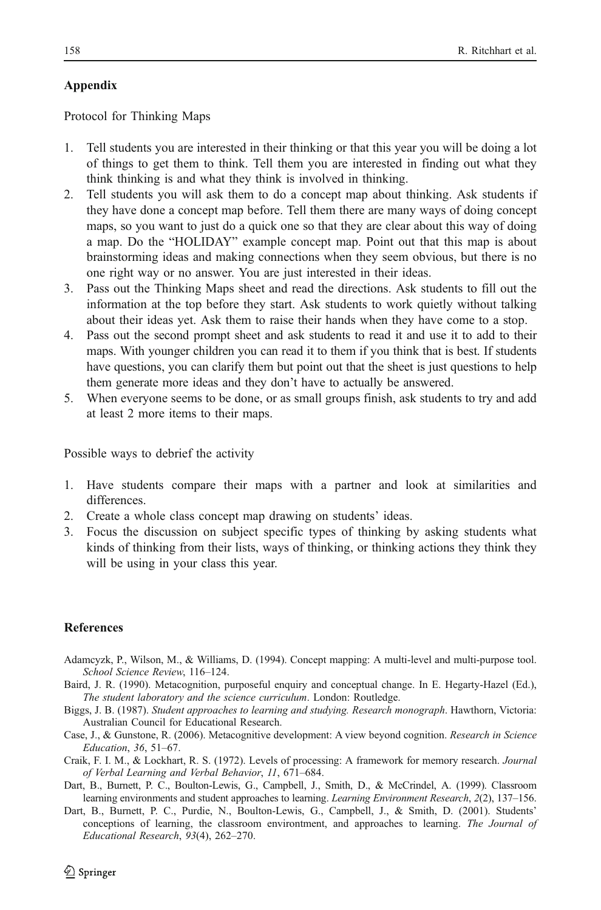# <span id="page-13-0"></span>Appendix

Protocol for Thinking Maps

- 1. Tell students you are interested in their thinking or that this year you will be doing a lot of things to get them to think. Tell them you are interested in finding out what they think thinking is and what they think is involved in thinking.
- 2. Tell students you will ask them to do a concept map about thinking. Ask students if they have done a concept map before. Tell them there are many ways of doing concept maps, so you want to just do a quick one so that they are clear about this way of doing a map. Do the "HOLIDAY" example concept map. Point out that this map is about brainstorming ideas and making connections when they seem obvious, but there is no one right way or no answer. You are just interested in their ideas.
- 3. Pass out the Thinking Maps sheet and read the directions. Ask students to fill out the information at the top before they start. Ask students to work quietly without talking about their ideas yet. Ask them to raise their hands when they have come to a stop.
- 4. Pass out the second prompt sheet and ask students to read it and use it to add to their maps. With younger children you can read it to them if you think that is best. If students have questions, you can clarify them but point out that the sheet is just questions to help them generate more ideas and they don't have to actually be answered.
- 5. When everyone seems to be done, or as small groups finish, ask students to try and add at least 2 more items to their maps.

Possible ways to debrief the activity

- 1. Have students compare their maps with a partner and look at similarities and differences.
- 2. Create a whole class concept map drawing on students' ideas.
- 3. Focus the discussion on subject specific types of thinking by asking students what kinds of thinking from their lists, ways of thinking, or thinking actions they think they will be using in your class this year.

# **References**

- Adamcyzk, P., Wilson, M., & Williams, D. (1994). Concept mapping: A multi-level and multi-purpose tool. School Science Review, 116–124.
- Baird, J. R. (1990). Metacognition, purposeful enquiry and conceptual change. In E. Hegarty-Hazel (Ed.), The student laboratory and the science curriculum. London: Routledge.
- Biggs, J. B. (1987). Student approaches to learning and studying. Research monograph. Hawthorn, Victoria: Australian Council for Educational Research.
- Case, J., & Gunstone, R. (2006). Metacognitive development: A view beyond cognition. Research in Science Education, 36, 51–67.
- Craik, F. I. M., & Lockhart, R. S. (1972). Levels of processing: A framework for memory research. Journal of Verbal Learning and Verbal Behavior, 11, 671–684.
- Dart, B., Burnett, P. C., Boulton-Lewis, G., Campbell, J., Smith, D., & McCrindel, A. (1999). Classroom learning environments and student approaches to learning. Learning Environment Research, 2(2), 137–156.
- Dart, B., Burnett, P. C., Purdie, N., Boulton-Lewis, G., Campbell, J., & Smith, D. (2001). Students' conceptions of learning, the classroom environtment, and approaches to learning. The Journal of Educational Research, 93(4), 262–270.